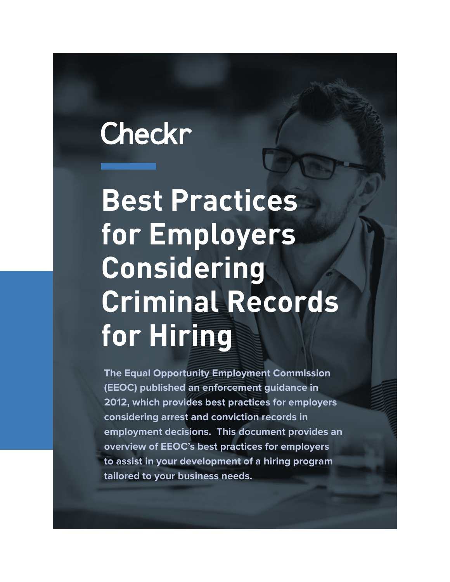### Checkr

**Best Practices for Employers Considering Criminal Records for Hiring**

**The Equal Opportunity Employment Commission (EEOC) published an enforcement guidance in 2012, which provides best practices for employers considering arrest and conviction records in employment decisions. This document provides an overview of EEOC's best practices for employers to assist in your development of a hiring program tailored to your business needs.**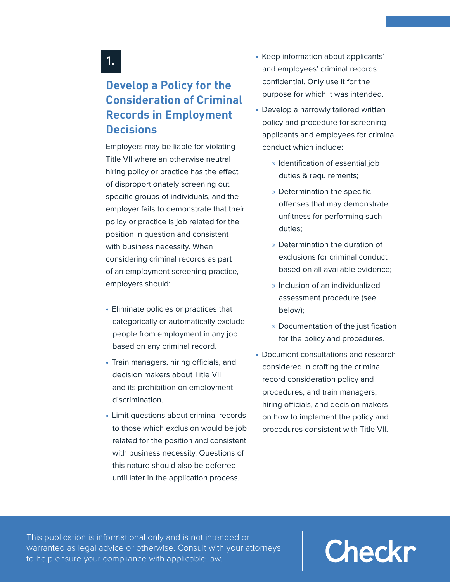#### **1.**

#### **Develop a Policy for the Consideration of Criminal Records in Employment Decisions**

Employers may be liable for violating Title VII where an otherwise neutral hiring policy or practice has the effect of disproportionately screening out specific groups of individuals, and the employer fails to demonstrate that their policy or practice is job related for the position in question and consistent with business necessity. When considering criminal records as part of an employment screening practice, employers should:

- **•**Eliminate policies or practices that categorically or automatically exclude people from employment in any job based on any criminal record.
- **•**Train managers, hiring officials, and decision makers about Title VII and its prohibition on employment discrimination.
- **•**Limit questions about criminal records to those which exclusion would be job related for the position and consistent with business necessity. Questions of this nature should also be deferred until later in the application process.
- **•**Keep information about applicants' and employees' criminal records confidential. Only use it for the purpose for which it was intended.
- **•**Develop a narrowly tailored written policy and procedure for screening applicants and employees for criminal conduct which include:
	- »Identification of essential job duties & requirements;
	- »Determination the specific offenses that may demonstrate unfitness for performing such duties;
	- »Determination the duration of exclusions for criminal conduct based on all available evidence;
	- »Inclusion of an individualized assessment procedure (see below);
	- »Documentation of the justification for the policy and procedures.
- **•**Document consultations and research considered in crafting the criminal record consideration policy and procedures, and train managers, hiring officials, and decision makers on how to implement the policy and procedures consistent with Title VII.

This publication is informational only and is not intended or warranted as legal advice or otherwise. Consult with your attorneys to help ensure your compliance with applicable law.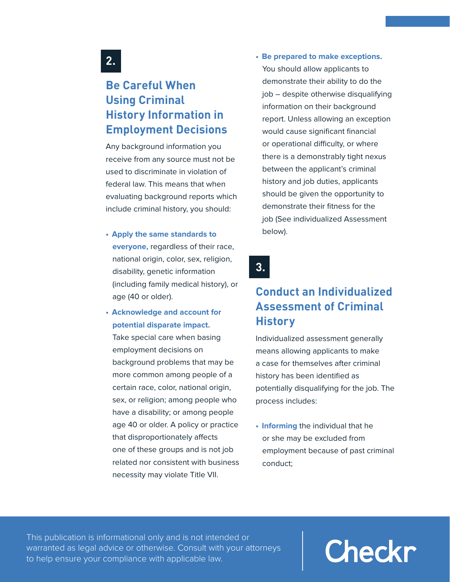#### **2.**

#### **Be Careful When Using Criminal History Information in Employment Decisions**

Any background information you receive from any source must not be used to discriminate in violation of federal law. This means that when evaluating background reports which include criminal history, you should:

- **•    Apply the same standards to everyone,** regardless of their race, national origin, color, sex, religion, disability, genetic information (including family medical history), or age (40 or older).
- **•    Acknowledge and account for potential disparate impact.**

Take special care when basing employment decisions on background problems that may be more common among people of a certain race, color, national origin, sex, or religion; among people who have a disability; or among people age 40 or older. A policy or practice that disproportionately affects one of these groups and is not job related nor consistent with business necessity may violate Title VII.

**•    Be prepared to make exceptions.**  You should allow applicants to demonstrate their ability to do the job – despite otherwise disqualifying information on their background report. Unless allowing an exception would cause significant financial or operational difficulty, or where there is a demonstrably tight nexus between the applicant's criminal history and job duties, applicants should be given the opportunity to demonstrate their fitness for the job (See individualized Assessment below).

### **3.**

#### **Conduct an Individualized Assessment of Criminal History**

Individualized assessment generally means allowing applicants to make a case for themselves after criminal history has been identified as potentially disqualifying for the job. The process includes:

**•    Informing** the individual that he or she may be excluded from employment because of past criminal conduct;

This publication is informational only and is not intended or warranted as legal advice or otherwise. Consult with your attorneys to help ensure your compliance with applicable law.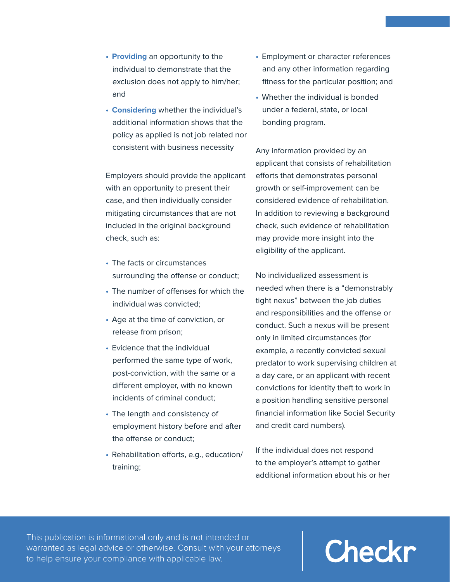- **•    Providing** an opportunity to the individual to demonstrate that the exclusion does not apply to him/her; and
- **•    Considering** whether the individual's additional information shows that the policy as applied is not job related nor consistent with business necessity

Employers should provide the applicant with an opportunity to present their case, and then individually consider mitigating circumstances that are not included in the original background check, such as:

- **•**The facts or circumstances surrounding the offense or conduct;
- **•**The number of offenses for which the individual was convicted;
- **•**Age at the time of conviction, or release from prison;
- **•**Evidence that the individual performed the same type of work, post-conviction, with the same or a different employer, with no known incidents of criminal conduct;
- **•**The length and consistency of employment history before and after the offense or conduct;
- **•**Rehabilitation efforts, e.g., education/ training;
- **•**Employment or character references and any other information regarding fitness for the particular position; and
- **•**Whether the individual is bonded under a federal, state, or local bonding program.

Any information provided by an applicant that consists of rehabilitation efforts that demonstrates personal growth or self-improvement can be considered evidence of rehabilitation. In addition to reviewing a background check, such evidence of rehabilitation may provide more insight into the eligibility of the applicant.

No individualized assessment is needed when there is a "demonstrably tight nexus" between the job duties and responsibilities and the offense or conduct. Such a nexus will be present only in limited circumstances (for example, a recently convicted sexual predator to work supervising children at a day care, or an applicant with recent convictions for identity theft to work in a position handling sensitive personal financial information like Social Security and credit card numbers).

If the individual does not respond to the employer's attempt to gather additional information about his or her

This publication is informational only and is not intended or warranted as legal advice or otherwise. Consult with your attorneys to help ensure your compliance with applicable law.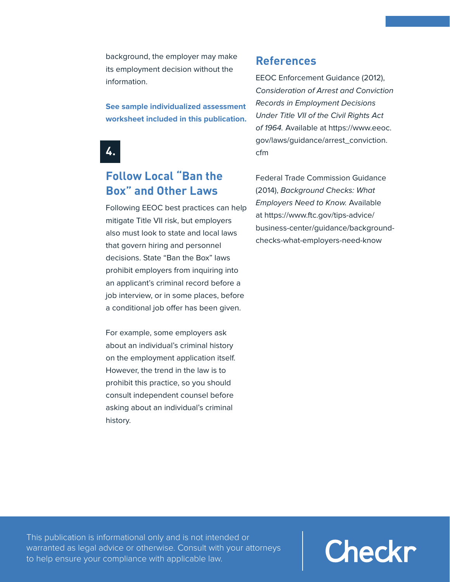background, the employer may make its employment decision without the information.

**See sample individualized assessment worksheet included in this publication.**



#### **Follow Local "Ban the Box" and Other Laws**

Following EEOC best practices can help mitigate Title VII risk, but employers also must look to state and local laws that govern hiring and personnel decisions. State "Ban the Box" laws prohibit employers from inquiring into an applicant's criminal record before a job interview, or in some places, before a conditional job offer has been given.

For example, some employers ask about an individual's criminal history on the employment application itself. However, the trend in the law is to prohibit this practice, so you should consult independent counsel before asking about an individual's criminal history.

#### **References**

EEOC Enforcement Guidance (2012), Consideration of Arrest and Conviction Records in Employment Decisions Under Title VII of the Civil Rights Act of 1964. Available at https://www.eeoc. gov/laws/guidance/arrest\_conviction. cfm

Federal Trade Commission Guidance (2014), Background Checks: What Employers Need to Know. Available at https://www.ftc.gov/tips-advice/ business-center/guidance/backgroundchecks-what-employers-need-know

This publication is informational only and is not intended or warranted as legal advice or otherwise. Consult with your attorneys to help ensure your compliance with applicable law.